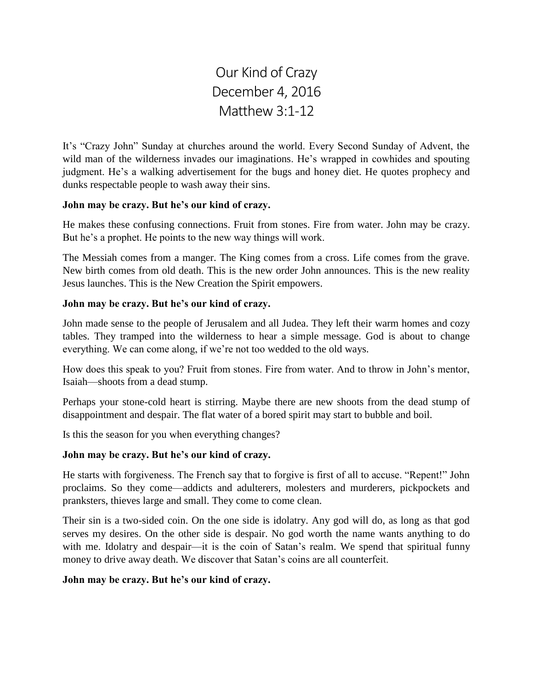Our Kind of Crazy December 4, 2016 Matthew 3:1-12

It's "Crazy John" Sunday at churches around the world. Every Second Sunday of Advent, the wild man of the wilderness invades our imaginations. He's wrapped in cowhides and spouting judgment. He's a walking advertisement for the bugs and honey diet. He quotes prophecy and dunks respectable people to wash away their sins.

## **John may be crazy. But he's our kind of crazy.**

He makes these confusing connections. Fruit from stones. Fire from water. John may be crazy. But he's a prophet. He points to the new way things will work.

The Messiah comes from a manger. The King comes from a cross. Life comes from the grave. New birth comes from old death. This is the new order John announces. This is the new reality Jesus launches. This is the New Creation the Spirit empowers.

## **John may be crazy. But he's our kind of crazy.**

John made sense to the people of Jerusalem and all Judea. They left their warm homes and cozy tables. They tramped into the wilderness to hear a simple message. God is about to change everything. We can come along, if we're not too wedded to the old ways.

How does this speak to you? Fruit from stones. Fire from water. And to throw in John's mentor, Isaiah—shoots from a dead stump.

Perhaps your stone-cold heart is stirring. Maybe there are new shoots from the dead stump of disappointment and despair. The flat water of a bored spirit may start to bubble and boil.

Is this the season for you when everything changes?

# **John may be crazy. But he's our kind of crazy.**

He starts with forgiveness. The French say that to forgive is first of all to accuse. "Repent!" John proclaims. So they come—addicts and adulterers, molesters and murderers, pickpockets and pranksters, thieves large and small. They come to come clean.

Their sin is a two-sided coin. On the one side is idolatry. Any god will do, as long as that god serves my desires. On the other side is despair. No god worth the name wants anything to do with me. Idolatry and despair—it is the coin of Satan's realm. We spend that spiritual funny money to drive away death. We discover that Satan's coins are all counterfeit.

# **John may be crazy. But he's our kind of crazy.**